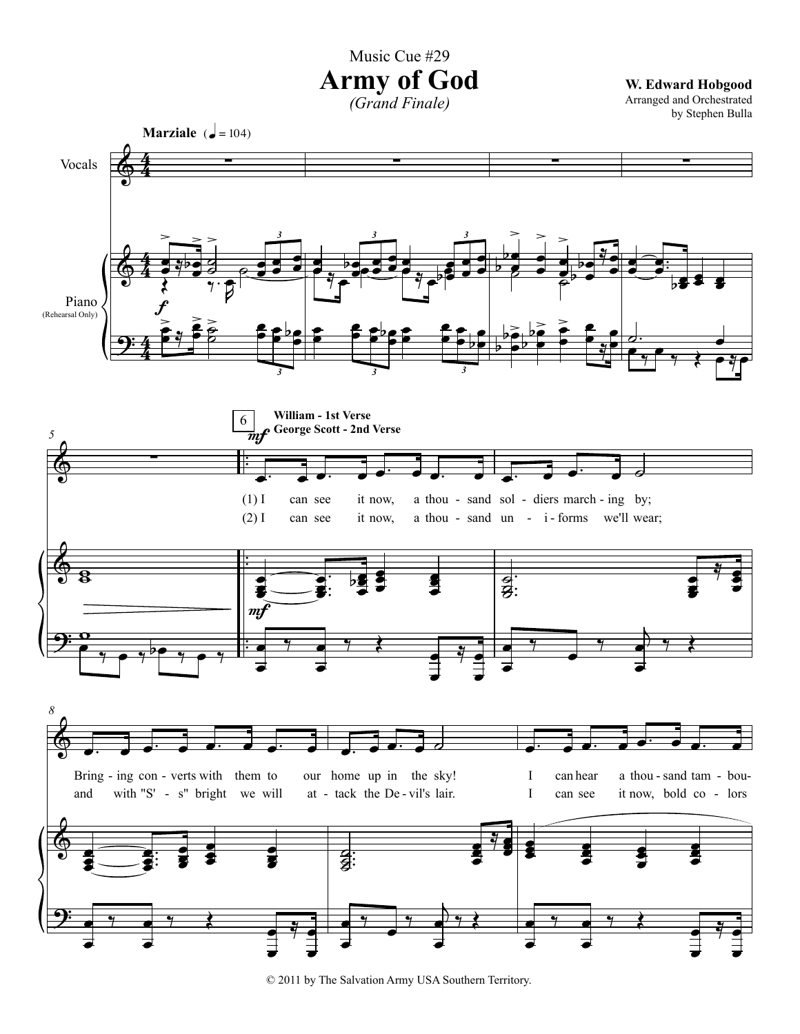Music Cue #29

## **Army of God**

*(Grand Finale)*

**W. Edward Hobgood** Arranged and Orchestrated



© 2011 by The Salvation Army USA Southern Territory.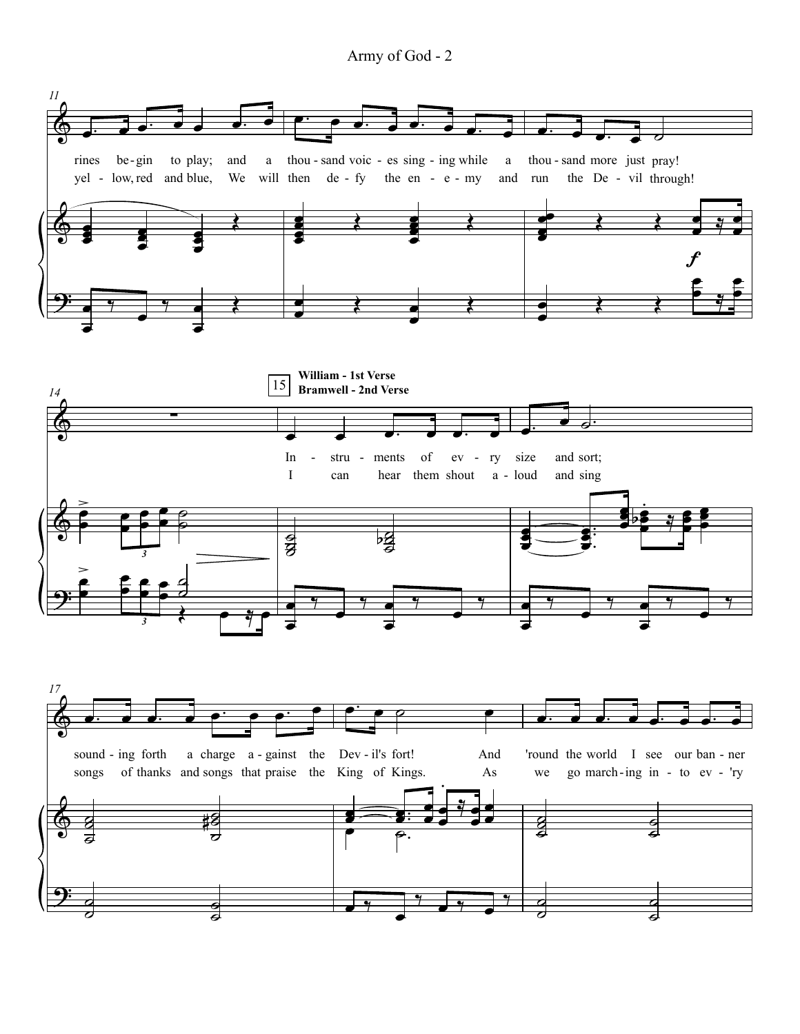Army of God - 2

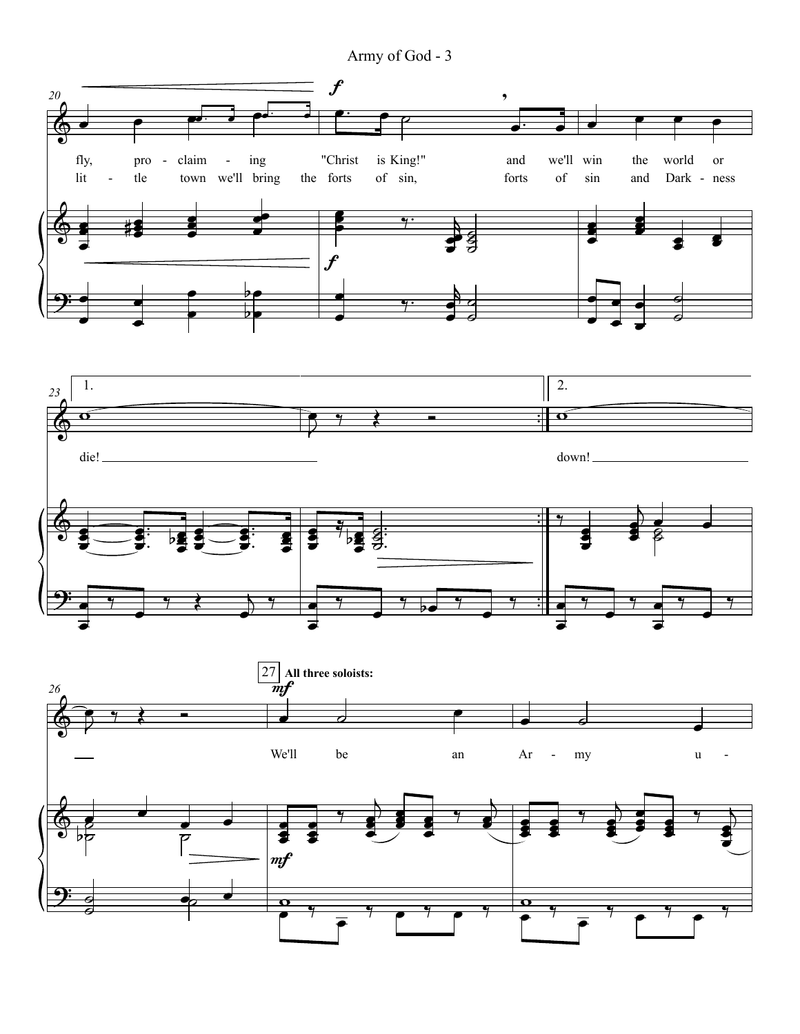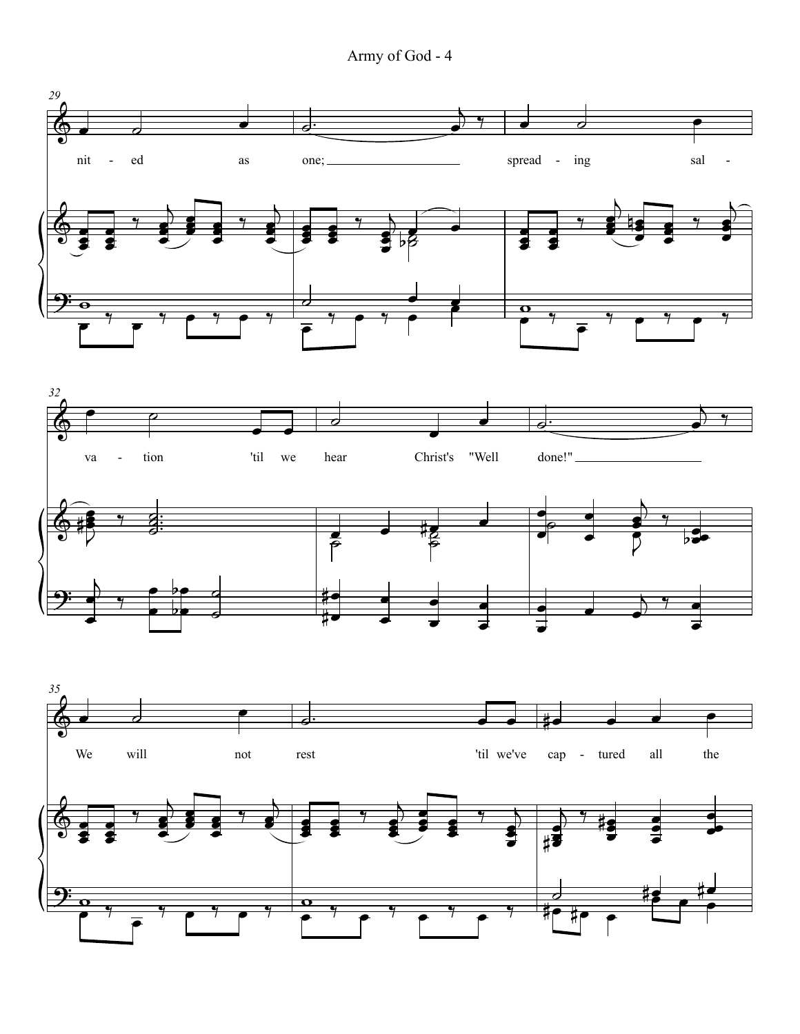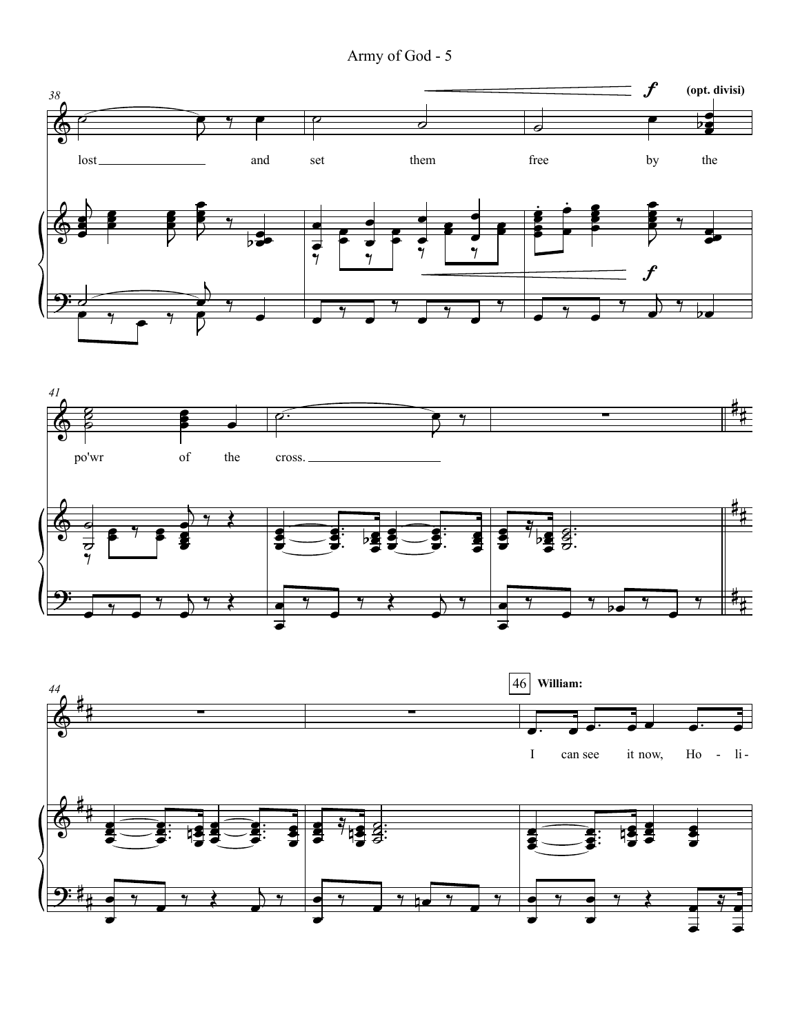Army of God - 5

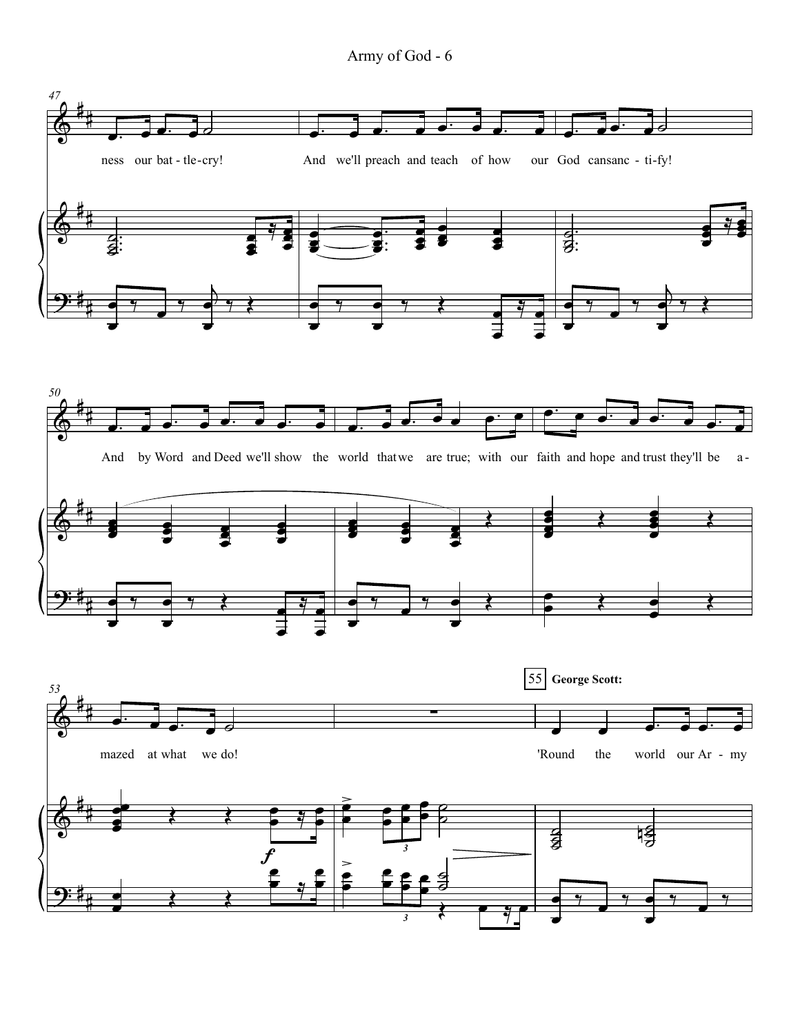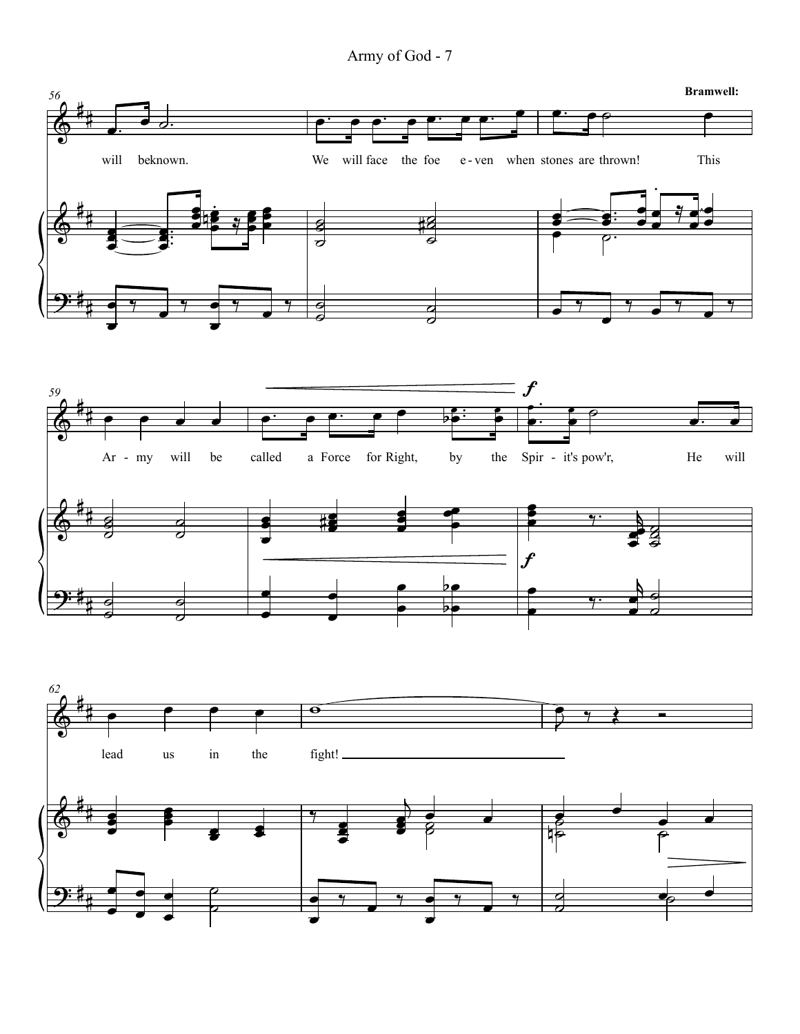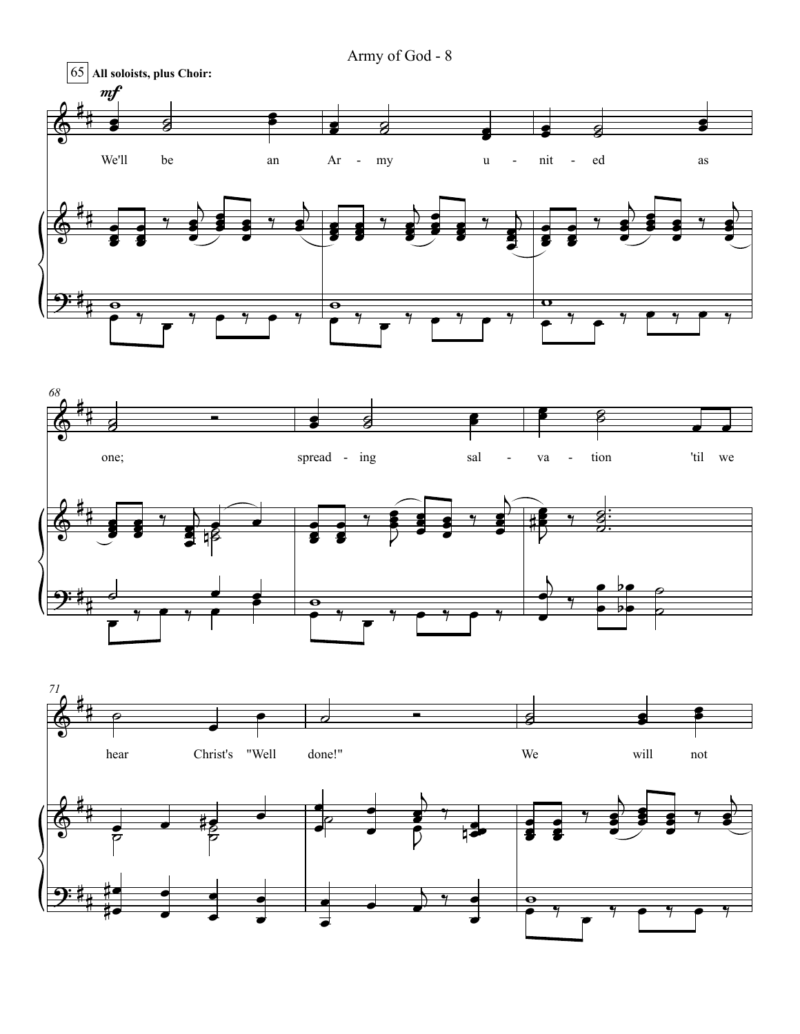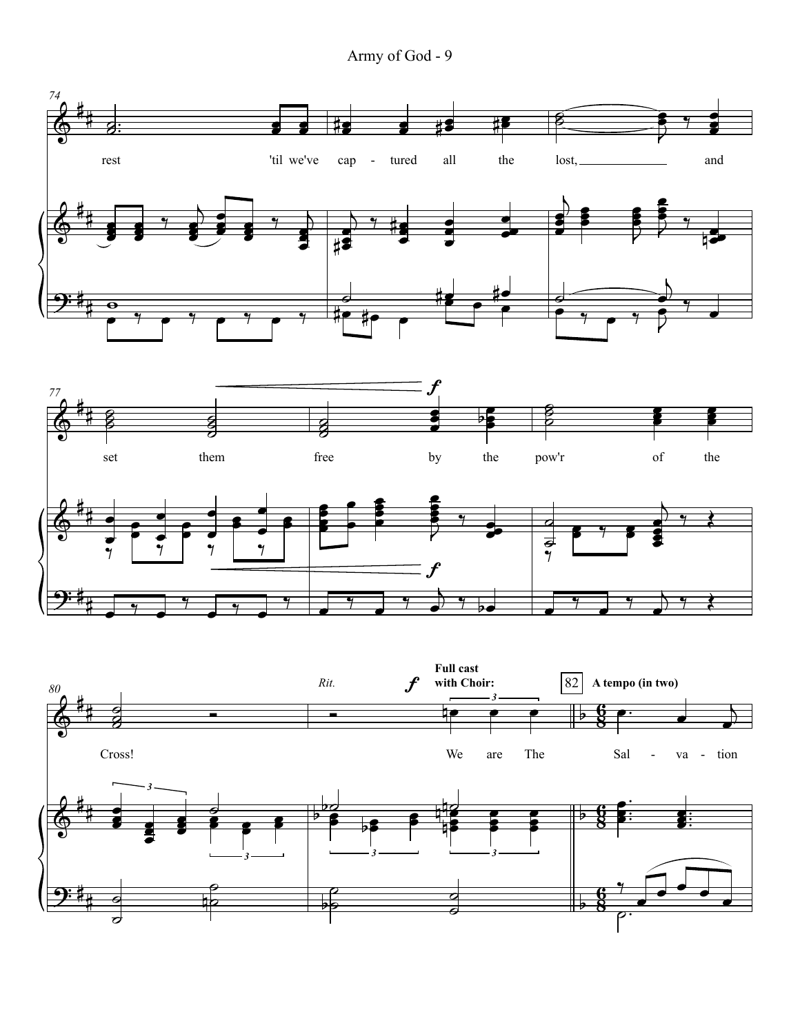Army of God - 9

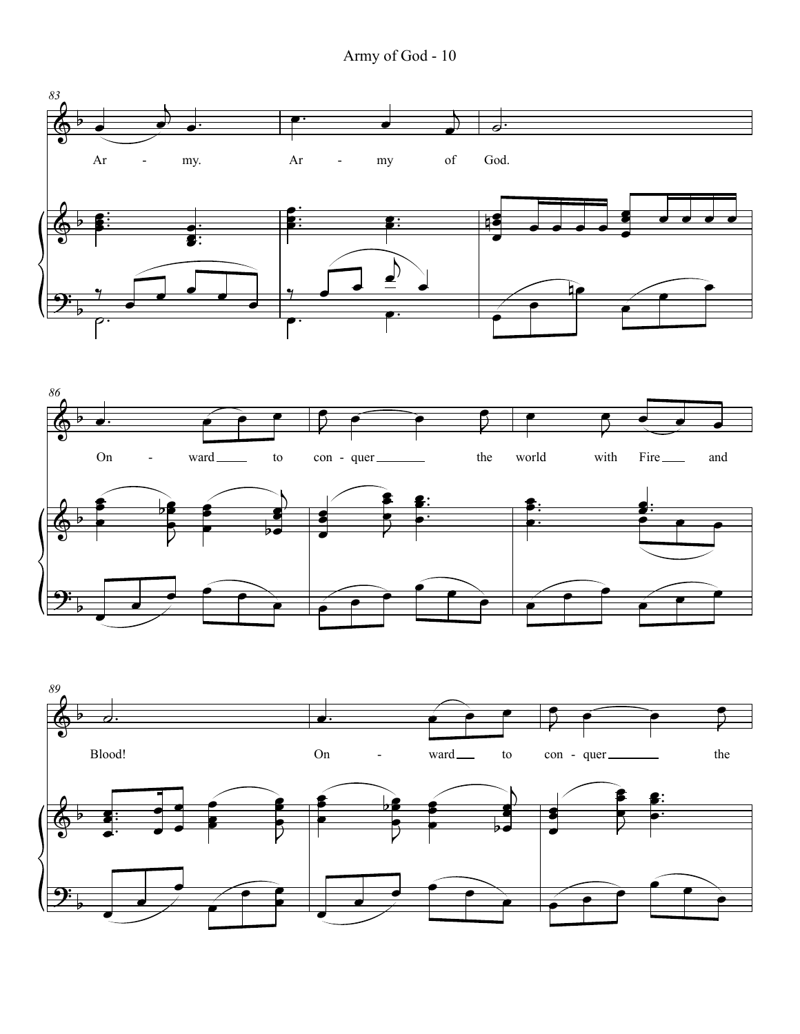



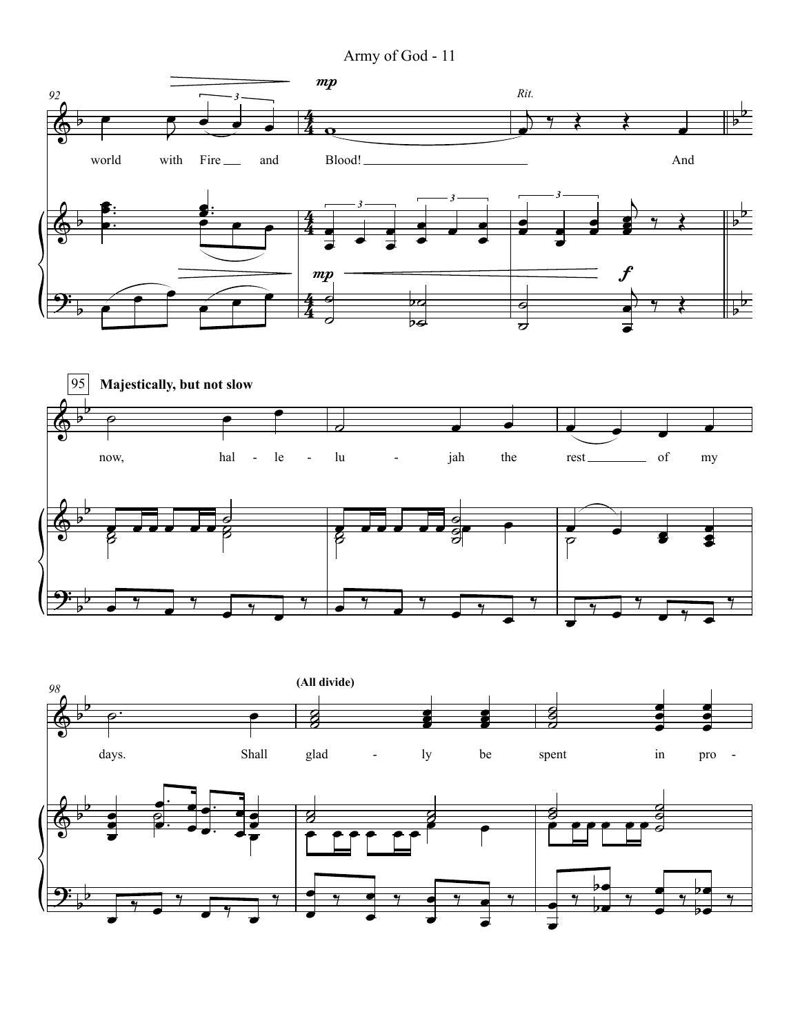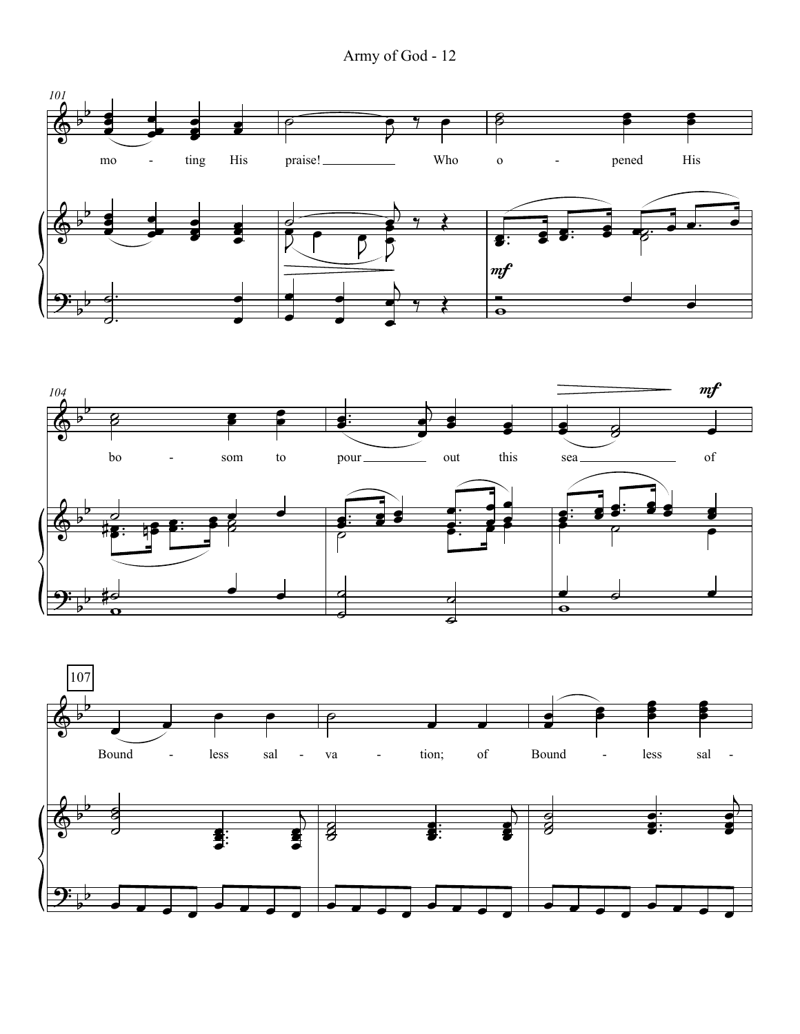Army of God - 12





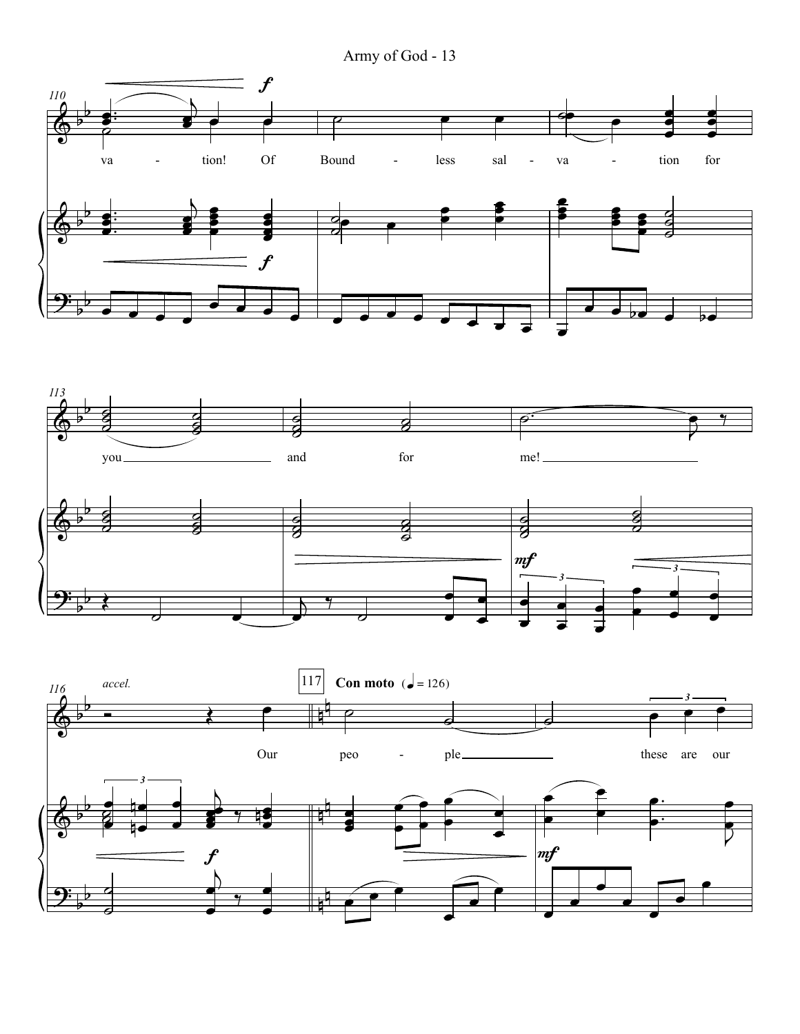Army of God - 13

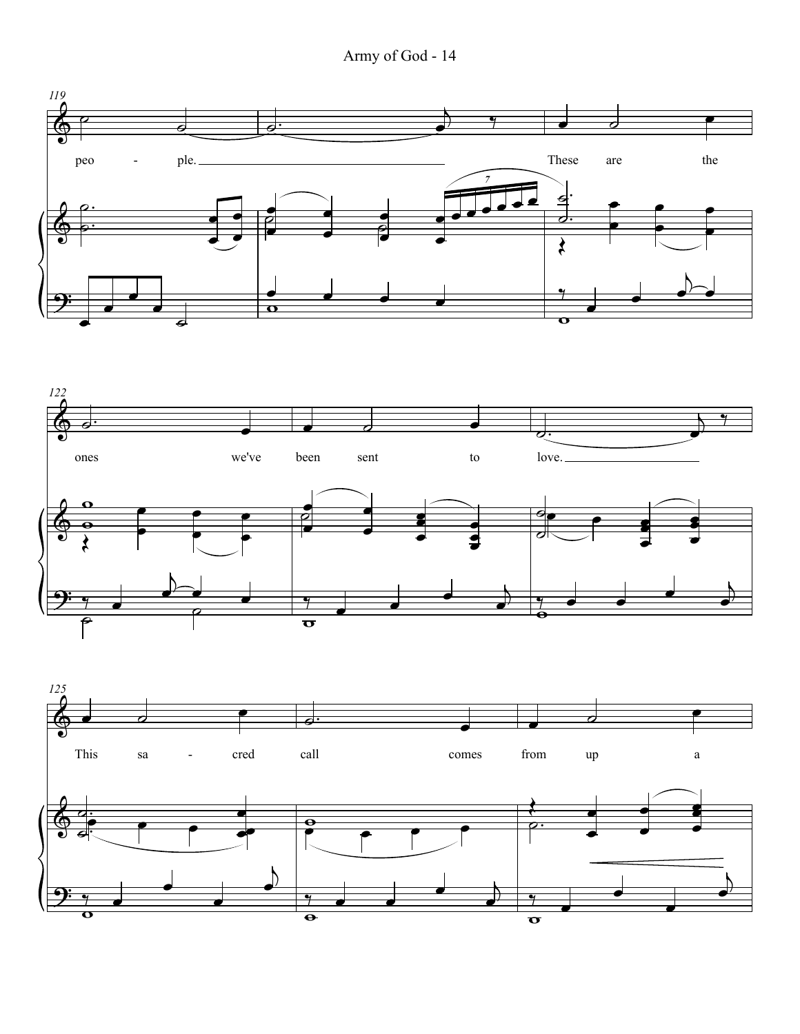Army of God - 14





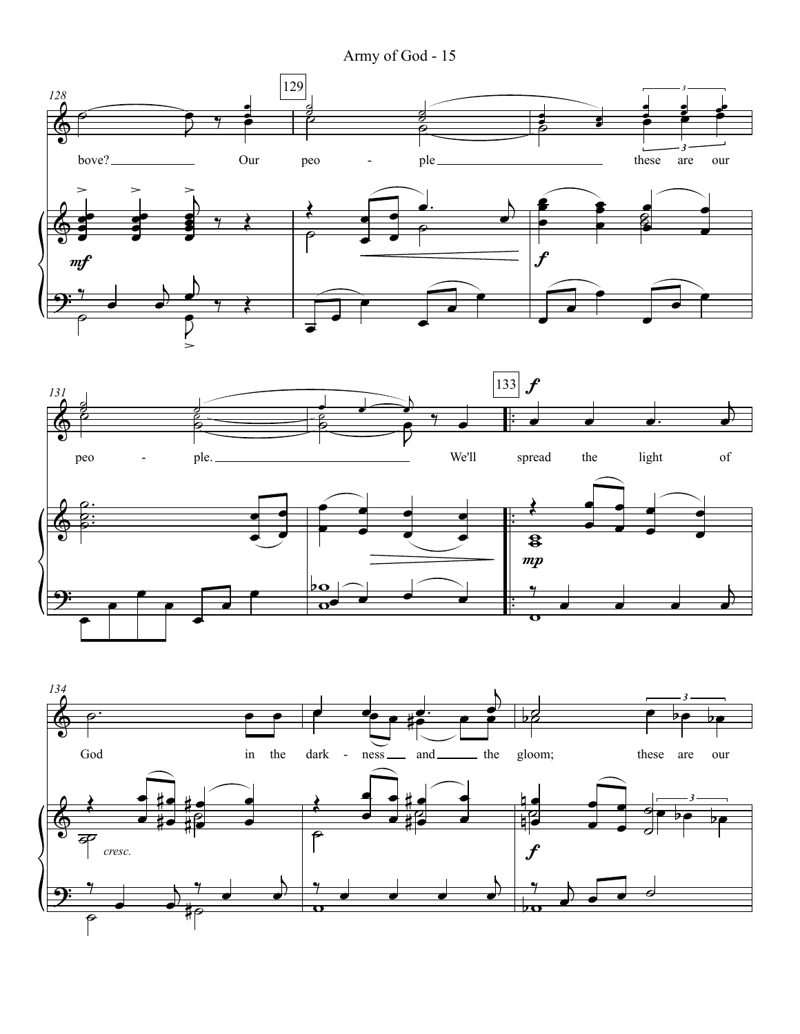Army of God - 15